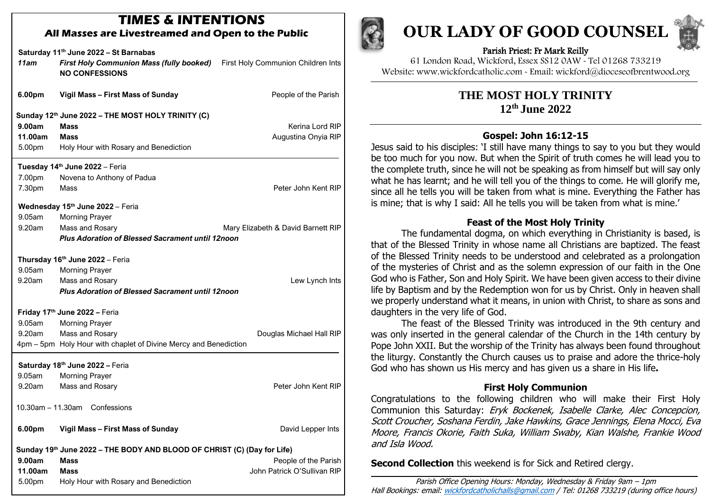## **TIMES & INTENTIONS All Masses are Livestreamed and Open to the Public**

**Saturday 11th June 2022 – St Barnabas**

- *11am First Holy Communion Mass (fully booked)* First Holy Communion Children Ints  **NO CONFESSIONS**
- **6.00pm Vigil Mass – First Mass of Sunday** People of the Parish

**Sunday 12th June 2022 – THE MOST HOLY TRINITY (C)**

 **9.00am Mass** Kerina Lord RIP  **11.00am Mass** Augustina Onyia RIP 5.00pm Holy Hour with Rosary and Benediction

#### **Tuesday 14th June 2022** – Feria

L 

I

 7.00pm Novena to Anthony of Padua 7.30pm Mass Peter John Kent RIP **Wednesday 15th June 2022** *–* Feria

9.05am Morning Prayer

|            | <b>Plus Adoration of Blessed Sacrament until 12noon</b> |                                    |
|------------|---------------------------------------------------------|------------------------------------|
| ່ 9.20am   | Mass and Rosary                                         | Mary Elizabeth & David Barnett RIP |
| 9.UJ.JaIII | <b>IVIOLIIIII</b> IY FIAVEL                             |                                    |

 **Thursday 16th June 2022** – Feria

|        | <b>Plus Adoration of Blessed Sacrament until 12noon</b> |                |
|--------|---------------------------------------------------------|----------------|
| 9.20am | Mass and Rosary                                         | Lew Lynch Ints |
| 9.05am | Morning Prayer                                          |                |

 **Friday 17th June 2022 –** Feria 9.05am Morning Prayer 9.20am Mass and Rosary **Douglas Michael Hall RIP** 4pm – 5pm Holy Hour with chaplet of Divine Mercy and Benediction

#### **Saturday 18 th June 2022 –** Feria

9.05am Morning Prayer 9.20am Mass and Rosary Peter John Kent RIP 10.30am – 11.30am Confessions  **6.00pm •• Vigil Mass – First Mass of Sunday <b>Constant Constant Constant Constant Constant Constant Constant Constant Constant Constant Constant Constant Constant Constant Constant Constant Constant Constant Constant Const** I **Sunday 19 th June 2022 – THE BODY AND BLOOD OF CHRIST (C) (Day for Life) 9.00am Mass** People of the Parish  **11.00am Mass** John Patrick O'Sullivan RIP 5.00pm Holy Hour with Rosary and Benediction



# **OUR LADY OF GOOD COUNSEL**



Parish Priest: Fr Mark Reilly

61 London Road, Wickford, Essex SS12 0AW ~ Tel 01268 733219 Website: www.wickfordcatholic.com ~ Email: wickford@dioceseofbrentwood.org

# **THE MOST HOLY TRINITY 12th June 2022**

# **Gospel: John 16:12-15**

Jesus said to his disciples: 'I still have many things to say to you but they would be too much for you now. But when the Spirit of truth comes he will lead you to the complete truth, since he will not be speaking as from himself but will say only what he has learnt; and he will tell you of the things to come. He will glorify me, since all he tells you will be taken from what is mine. Everything the Father has is mine; that is why I said: All he tells you will be taken from what is mine.'

## **Feast of the Most Holy Trinity**

The fundamental dogma, on which everything in Christianity is based, is that of the Blessed Trinity in whose name all Christians are baptized. The feast of the Blessed Trinity needs to be understood and celebrated as a prolongation of the mysteries of Christ and as the solemn expression of our faith in the One God who is Father, Son and Holy Spirit. We have been given access to their divine life by Baptism and by the Redemption won for us by Christ. Only in heaven shall we properly understand what it means, in union with Christ, to share as sons and daughters in the very life of God.

The feast of the Blessed Trinity was introduced in the 9th century and was only inserted in the general calendar of the Church in the 14th century by Pope John XXII. But the worship of the Trinity has always been found throughout the liturgy. Constantly the Church causes us to praise and adore the thrice-holy God who has shown us His mercy and has given us a share in His life**.**

# **First Holy Communion**

Congratulations to the following children who will make their First Holy Communion this Saturday: Eryk Bockenek, Isabelle Clarke, Alec Concepcion, Scott Croucher, Soshana Ferdin, Jake Hawkins, Grace Jennings, Elena Mocci, Eva Moore, Francis Okorie, Faith Suka, William Swaby, Kian Walshe, Frankie Wood and Isla Wood.

**Second Collection** this weekend is for Sick and Retired clergy.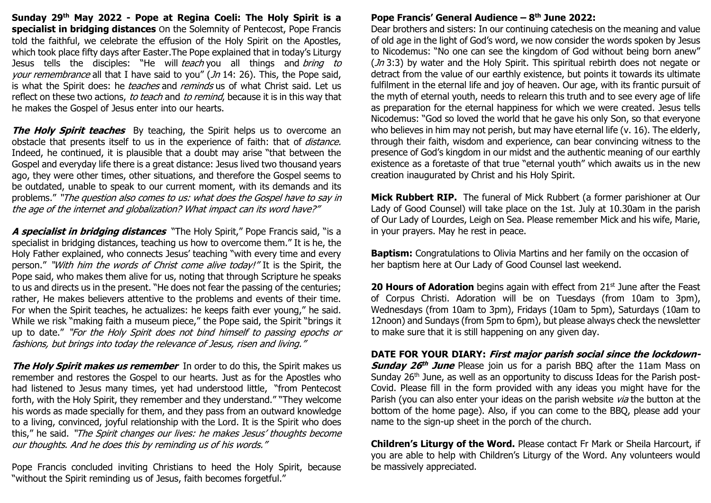**Sunday 29 th May 2022 - Pope at Regina Coeli: The Holy Spirit is a specialist in bridging distances** On the Solemnity of Pentecost, Pope Francis told the faithful, we celebrate the effusion of the Holy Spirit on the Apostles, which took place fifty days after Easter.The Pope explained that in today's Liturgy Jesus tells the disciples: "He will *teach* you all things and *bring to* your remembrance all that I have said to you" (Jn 14: 26). This, the Pope said, is what the Spirit does: he *teaches* and *reminds* us of what Christ said. Let us reflect on these two actions, to teach and to remind, because it is in this way that he makes the Gospel of Jesus enter into our hearts.

**The Holy Spirit teaches** By teaching, the Spirit helps us to overcome an obstacle that presents itself to us in the experience of faith: that of *distance*. Indeed, he continued, it is plausible that a doubt may arise "that between the Gospel and everyday life there is a great distance: Jesus lived two thousand years ago, they were other times, other situations, and therefore the Gospel seems to be outdated, unable to speak to our current moment, with its demands and its problems." "The question also comes to us: what does the Gospel have to say in the age of the internet and globalization? What impact can its word have?"

**A specialist in bridging distances** "The Holy Spirit," Pope Francis said, "is a specialist in bridging distances, teaching us how to overcome them." It is he, the Holy Father explained, who connects Jesus' teaching "with every time and every person." "With him the words of Christ come alive today!" It is the Spirit, the Pope said, who makes them alive for us, noting that through Scripture he speaks to us and directs us in the present. "He does not fear the passing of the centuries; rather, He makes believers attentive to the problems and events of their time. For when the Spirit teaches, he actualizes: he keeps faith ever young," he said. While we risk "making faith a museum piece," the Pope said, the Spirit "brings it up to date." "For the Holy Spirit does not bind himself to passing epochs or fashions, but brings into today the relevance of Jesus, risen and living."

**The Holy Spirit makes us remember** In order to do this, the Spirit makes us remember and restores the Gospel to our hearts. Just as for the Apostles who had listened to Jesus many times, yet had understood little, "from Pentecost forth, with the Holy Spirit, they remember and they understand." "They welcome his words as made specially for them, and they pass from an outward knowledge to a living, convinced, joyful relationship with the Lord. It is the Spirit who does this," he said. "The Spirit changes our lives: he makes Jesus' thoughts become our thoughts. And he does this by reminding us of his words."

Pope Francis concluded inviting Christians to heed the Holy Spirit, because "without the Spirit reminding us of Jesus, faith becomes forgetful."

## **Pope Francis' General Audience – 8 th June 2022:**

Dear brothers and sisters: In our continuing catechesis on the meaning and value of old age in the light of God's word, we now consider the words spoken by Jesus to Nicodemus: "No one can see the kingdom of God without being born anew"  $(J_{7}$  3:3) by water and the Holy Spirit. This spiritual rebirth does not negate or detract from the value of our earthly existence, but points it towards its ultimate fulfilment in the eternal life and joy of heaven. Our age, with its frantic pursuit of the myth of eternal youth, needs to relearn this truth and to see every age of life as preparation for the eternal happiness for which we were created. Jesus tells Nicodemus: "God so loved the world that he gave his only Son, so that everyone who believes in him may not perish, but may have eternal life (v. 16). The elderly, through their faith, wisdom and experience, can bear convincing witness to the presence of God's kingdom in our midst and the authentic meaning of our earthly existence as a foretaste of that true "eternal youth" which awaits us in the new creation inaugurated by Christ and his Holy Spirit.

**Mick Rubbert RIP.** The funeral of Mick Rubbert (a former parishioner at Our Lady of Good Counsel) will take place on the 1st. July at 10.30am in the parish of Our Lady of Lourdes, Leigh on Sea. Please remember Mick and his wife, Marie, in your prayers. May he rest in peace.

**Baptism:** Congratulations to Olivia Martins and her family on the occasion of her baptism here at Our Lady of Good Counsel last weekend.

**20 Hours of Adoration** begins again with effect from 21<sup>st</sup> June after the Feast of Corpus Christi. Adoration will be on Tuesdays (from 10am to 3pm), Wednesdays (from 10am to 3pm), Fridays (10am to 5pm), Saturdays (10am to 12noon) and Sundays (from 5pm to 6pm), but please always check the newsletter to make sure that it is still happening on any given day.

**DATE FOR YOUR DIARY: First major parish social since the lockdown-Sunday 26 th June** Please join us for a parish BBQ after the 11am Mass on Sunday 26<sup>th</sup> June, as well as an opportunity to discuss Ideas for the Parish post-Covid. Please fill in the form provided with any ideas you might have for the Parish (you can also enter your ideas on the parish website via the button at the bottom of the home page). Also, if you can come to the BBQ, please add your name to the sign-up sheet in the porch of the church.

**Children's Liturgy of the Word.** Please contact Fr Mark or Sheila Harcourt, if you are able to help with Children's Liturgy of the Word. Any volunteers would be massively appreciated.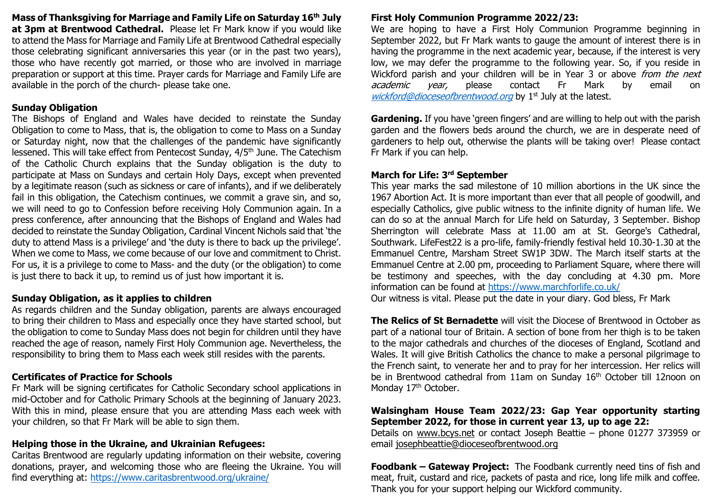**Mass of Thanksgiving for Marriage and Family Life on Saturday 16th July at 3pm at Brentwood Cathedral.** Please let Fr Mark know if you would like to attend the Mass for Marriage and Family Life at Brentwood Cathedral especially those celebrating significant anniversaries this year (or in the past two years), those who have recently got married, or those who are involved in marriage preparation or support at this time. Prayer cards for Marriage and Family Life are available in the porch of the church- please take one.

#### **Sunday Obligation**

The Bishops of England and Wales have decided to reinstate the Sunday Obligation to come to Mass, that is, the obligation to come to Mass on a Sunday or Saturday night, now that the challenges of the pandemic have significantly lessened. This will take effect from Pentecost Sunday, 4/5<sup>th</sup> June. The Catechism of the Catholic Church explains that the Sunday obligation is the duty to participate at Mass on Sundays and certain Holy Days, except when prevented by a legitimate reason (such as sickness or care of infants), and if we deliberately fail in this obligation, the Catechism continues, we commit a grave sin, and so, we will need to go to Confession before receiving Holy Communion again. In a press conference, after announcing that the Bishops of England and Wales had decided to reinstate the Sunday Obligation, Cardinal Vincent Nichols said that 'the duty to attend Mass is a privilege' and 'the duty is there to back up the privilege'. When we come to Mass, we come because of our love and commitment to Christ. For us, it is a privilege to come to Mass- and the duty (or the obligation) to come is just there to back it up, to remind us of just how important it is.

#### **Sunday Obligation, as it applies to children**

As regards children and the Sunday obligation, parents are always encouraged to bring their children to Mass and especially once they have started school, but the obligation to come to Sunday Mass does not begin for children until they have reached the age of reason, namely First Holy Communion age. Nevertheless, the responsibility to bring them to Mass each week still resides with the parents.

#### **Certificates of Practice for Schools**

Fr Mark will be signing certificates for Catholic Secondary school applications in mid-October and for Catholic Primary Schools at the beginning of January 2023. With this in mind, please ensure that you are attending Mass each week with your children, so that Fr Mark will be able to sign them.

## **Helping those in the Ukraine, and Ukrainian Refugees:**

Caritas Brentwood are regularly updating information on their website, covering donations, prayer, and welcoming those who are fleeing the Ukraine. You will find everything at:<https://www.caritasbrentwood.org/ukraine/>

#### **First Holy Communion Programme 2022/23:**

We are hoping to have a First Holy Communion Programme beginning in September 2022, but Fr Mark wants to gauge the amount of interest there is in having the programme in the next academic year, because, if the interest is very low, we may defer the programme to the following year. So, if you reside in Wickford parish and your children will be in Year 3 or above from the next academic year, please contact Fr Mark by email on [wickford@dioceseofbrentwood.org](mailto:wickford@dioceseofbrentwood.org) by 1<sup>st</sup> July at the latest.

**Gardening.** If you have 'green fingers' and are willing to help out with the parish garden and the flowers beds around the church, we are in desperate need of gardeners to help out, otherwise the plants will be taking over! Please contact Fr Mark if you can help.

## **March for Life: 3rd September**

This year marks the sad milestone of 10 million abortions in the UK since the 1967 Abortion Act. It is more important than ever that all people of goodwill, and especially Catholics, give public witness to the infinite dignity of human life. We can do so at the annual March for Life held on Saturday, 3 September. Bishop Sherrington will celebrate Mass at 11.00 am at St. George's Cathedral, Southwark. LifeFest22 is a pro-life, family-friendly festival held 10.30-1.30 at the Emmanuel Centre, Marsham Street SW1P 3DW. The March itself starts at the Emmanuel Centre at 2.00 pm, proceeding to Parliament Square, where there will be testimony and speeches, with the day concluding at 4.30 pm. More information can be found at <https://www.marchforlife.co.uk/>

Our witness is vital. Please put the date in your diary. God bless, Fr Mark

**The Relics of St Bernadette** will visit the Diocese of Brentwood in October as part of a national tour of Britain. A section of bone from her thigh is to be taken to the major cathedrals and churches of the dioceses of England, Scotland and Wales. It will give British Catholics the chance to make a personal pilgrimage to the French saint, to venerate her and to pray for her intercession. Her relics will be in Brentwood cathedral from 11am on Sunday 16<sup>th</sup> October till 12noon on Monday 17<sup>th</sup> October.

#### **Walsingham House Team 2022/23: Gap Year opportunity starting September 2022, for those in current year 13, up to age 22:**

Details on [www.bcys.net](http://www.bcys.net/) or contact Joseph Beattie – phone 01277 373959 or email [josephbeattie@dioceseofbrentwood.org](mailto:josephbeattie@dioceseofbrentwood.org)

**Foodbank – Gateway Project:** The Foodbank currently need tins of fish and meat, fruit, custard and rice, packets of pasta and rice, long life milk and coffee. Thank you for your support helping our Wickford community.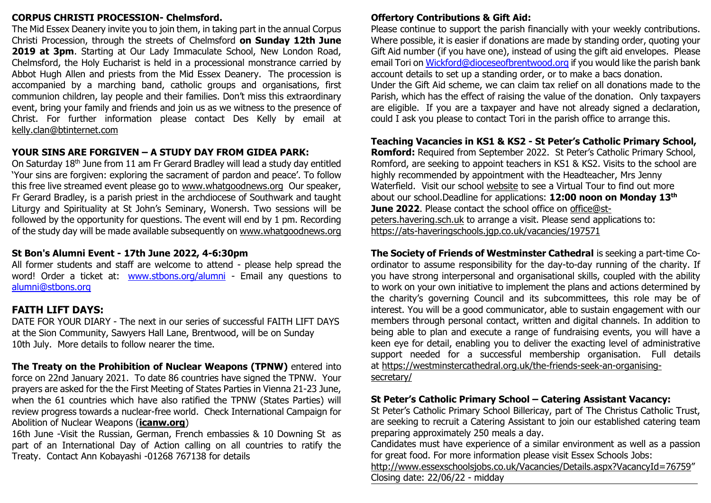#### **CORPUS CHRISTI PROCESSION- Chelmsford.**

The Mid Essex Deanery invite you to join them, in taking part in the annual Corpus Christi Procession, through the streets of Chelmsford **on Sunday 12th June 2019 at 3pm**. Starting at Our Lady Immaculate School, New London Road, Chelmsford, the Holy Eucharist is held in a processional monstrance carried by Abbot Hugh Allen and priests from the Mid Essex Deanery. The procession is accompanied by a marching band, catholic groups and organisations, first communion children, lay people and their families. Don't miss this extraordinary event, bring your family and friends and join us as we witness to the presence of Christ. For further information please contact Des Kelly by email at [kelly.clan@btinternet.com](mailto:kelly.clan@btinternet.com)

## **YOUR SINS ARE FORGIVEN – A STUDY DAY FROM GIDEA PARK:**

On Saturday 18th June from 11 am Fr Gerard Bradley will lead a study day entitled 'Your sins are forgiven: exploring the sacrament of pardon and peace'. To follow this free live streamed event please go to [www.whatgoodnews.org](http://www.whatgoodnews.org/) Our speaker, Fr Gerard Bradley, is a parish priest in the archdiocese of Southwark and taught Liturgy and Spirituality at St John's Seminary, Wonersh. Two sessions will be followed by the opportunity for questions. The event will end by 1 pm. Recording of the study day will be made available subsequently on [www.whatgoodnews.org](http://www.whatgoodnews.org/)

#### **St Bon's Alumni Event - 17th June 2022, 4-6:30pm**

All former students and staff are welcome to attend - please help spread the word! Order a ticket at: [www.stbons.org/alumni](http://www.stbons.org/alumni) - Email any questions to [alumni@stbons.org](mailto:alumni@stbons.org) 

## **FAITH LIFT DAYS:**

DATE FOR YOUR DIARY - The next in our series of successful FAITH LIFT DAYS at the Sion Community, Sawyers Hall Lane, Brentwood, will be on Sunday 10th July. More details to follow nearer the time.

**The Treaty on the Prohibition of Nuclear Weapons (TPNW)** entered into force on 22nd January 2021. To date 86 countries have signed the TPNW. Your prayers are asked for the the First Meeting of States Parties in Vienna 21-23 June, when the 61 countries which have also ratified the TPNW (States Parties) will review progress towards a nuclear-free world. Check International Campaign for Abolition of Nuclear Weapons (**[icanw.org](http://icanw.org/)**)

16th June -Visit the Russian, German, French embassies & 10 Downing St as part of an International Day of Action calling on all countries to ratify the Treaty. Contact Ann Kobayashi -01268 767138 for details

## **Offertory Contributions & Gift Aid:**

Please continue to support the parish financially with your weekly contributions. Where possible, it is easier if donations are made by standing order, quoting your Gift Aid number (if you have one), instead of using the gift aid envelopes. Please email Tori on [Wickford@dioceseofbrentwood.org](mailto:Wickford@dioceseofbrentwood.org) if you would like the parish bank account details to set up a standing order, or to make a bacs donation. Under the Gift Aid scheme, we can claim tax relief on all donations made to the

Parish, which has the effect of raising the value of the donation. Only taxpayers are eligible. If you are a taxpayer and have not already signed a declaration, could I ask you please to contact Tori in the parish office to arrange this.

**Teaching Vacancies in KS1 & KS2 - St Peter's Catholic Primary School,** 

**Romford:** Required from September 2022. St Peter's Catholic Primary School, Romford, are seeking to appoint teachers in KS1 & KS2. Visits to the school are highly recommended by appointment with the Headteacher, Mrs Jenny Waterfield. Visit our school [website](https://st-peters.havering.sch.uk/havering/primary/st-peters) to see a Virtual Tour to find out more about our school.Deadline for applications: **12:00 noon on Monday 13 th June 2022.** Please contact the school office on [office@st](mailto:office@st-peters.havering.sch.uk)[peters.havering.sch.uk](mailto:office@st-peters.havering.sch.uk) to arrange a visit. Please send applications to: <https://ats-haveringschools.jgp.co.uk/vacancies/197571>

**The Society of Friends of Westminster Cathedral** is seeking a part-time Coordinator to assume responsibility for the day-to-day running of the charity. If you have strong interpersonal and organisational skills, coupled with the ability to work on your own initiative to implement the plans and actions determined by the charity's governing Council and its subcommittees, this role may be of interest. You will be a good communicator, able to sustain engagement with our members through personal contact, written and digital channels. In addition to being able to plan and execute a range of fundraising events, you will have a keen eye for detail, enabling you to deliver the exacting level of administrative support needed for a successful membership organisation. Full details at [https://westminstercathedral.org.uk/the-friends-seek-an-organising](https://westminstercathedral.org.uk/the-friends-seek-an-organising-secretary/)[secretary/](https://westminstercathedral.org.uk/the-friends-seek-an-organising-secretary/)

#### **St Peter's Catholic Primary School – Catering Assistant Vacancy:**

St Peter's Catholic Primary School Billericay, part of The Christus Catholic Trust, are seeking to recruit a Catering Assistant to join our established catering team preparing approximately 250 meals a day.

Candidates must have experience of a similar environment as well as a passion for great food. For more information please visit Essex Schools Jobs:

<http://www.essexschoolsjobs.co.uk/Vacancies/Details.aspx?VacancyId=76759>" Closing date: 22/06/22 - midday